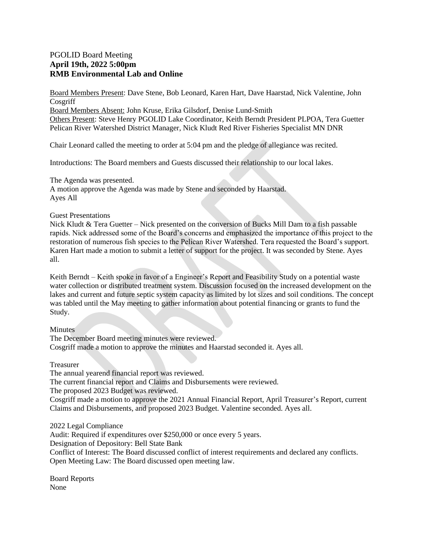## PGOLID Board Meeting **April 19th, 2022 5:00pm RMB Environmental Lab and Online**

Board Members Present: Dave Stene, Bob Leonard, Karen Hart, Dave Haarstad, Nick Valentine, John Cosgriff

Board Members Absent: John Kruse, Erika Gilsdorf, Denise Lund-Smith

Others Present: Steve Henry PGOLID Lake Coordinator, Keith Berndt President PLPOA, Tera Guetter Pelican River Watershed District Manager, Nick Kludt Red River Fisheries Specialist MN DNR

Chair Leonard called the meeting to order at 5:04 pm and the pledge of allegiance was recited.

Introductions: The Board members and Guests discussed their relationship to our local lakes.

The Agenda was presented.

A motion approve the Agenda was made by Stene and seconded by Haarstad. Ayes All

## Guest Presentations

Nick Kludt  $\&$  Tera Guetter – Nick presented on the conversion of Bucks Mill Dam to a fish passable rapids. Nick addressed some of the Board's concerns and emphasized the importance of this project to the restoration of numerous fish species to the Pelican River Watershed. Tera requested the Board's support. Karen Hart made a motion to submit a letter of support for the project. It was seconded by Stene. Ayes all.

Keith Berndt – Keith spoke in favor of a Engineer's Report and Feasibility Study on a potential waste water collection or distributed treatment system. Discussion focused on the increased development on the lakes and current and future septic system capacity as limited by lot sizes and soil conditions. The concept was tabled until the May meeting to gather information about potential financing or grants to fund the Study.

## **Minutes**

The December Board meeting minutes were reviewed. Cosgriff made a motion to approve the minutes and Haarstad seconded it. Ayes all.

Treasurer

The annual yearend financial report was reviewed.

The current financial report and Claims and Disbursements were reviewed.

The proposed 2023 Budget was reviewed.

Cosgriff made a motion to approve the 2021 Annual Financial Report, April Treasurer's Report, current Claims and Disbursements, and proposed 2023 Budget. Valentine seconded. Ayes all.

2022 Legal Compliance Audit: Required if expenditures over \$250,000 or once every 5 years. Designation of Depository: Bell State Bank Conflict of Interest: The Board discussed conflict of interest requirements and declared any conflicts. Open Meeting Law: The Board discussed open meeting law.

Board Reports None